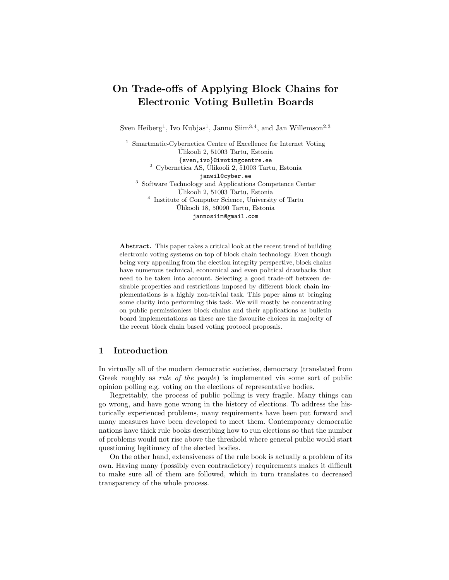# On Trade-offs of Applying Block Chains for Electronic Voting Bulletin Boards

Sven Heiberg<sup>1</sup>, Ivo Kubjas<sup>1</sup>, Janno Siim<sup>3,4</sup>, and Jan Willemson<sup>2,3</sup>

<sup>1</sup> Smartmatic-Cybernetica Centre of Excellence for Internet Voting Ulikooli 2, 51003 Tartu, Estonia ¨ {sven,ivo}@ivotingcentre.ee  $2$  Cybernetica AS, Ülikooli 2, 51003 Tartu, Estonia janwil@cyber.ee <sup>3</sup> Software Technology and Applications Competence Center Ulikooli 2, 51003 Tartu, Estonia ¨ 4 Institute of Computer Science, University of Tartu Ulikooli 18, 50090 Tartu, Estonia ¨ jannosiim@gmail.com

Abstract. This paper takes a critical look at the recent trend of building electronic voting systems on top of block chain technology. Even though being very appealing from the election integrity perspective, block chains have numerous technical, economical and even political drawbacks that need to be taken into account. Selecting a good trade-off between desirable properties and restrictions imposed by different block chain implementations is a highly non-trivial task. This paper aims at bringing some clarity into performing this task. We will mostly be concentrating on public permissionless block chains and their applications as bulletin board implementations as these are the favourite choices in majority of the recent block chain based voting protocol proposals.

# 1 Introduction

In virtually all of the modern democratic societies, democracy (translated from Greek roughly as rule of the people) is implemented via some sort of public opinion polling e.g. voting on the elections of representative bodies.

Regrettably, the process of public polling is very fragile. Many things can go wrong, and have gone wrong in the history of elections. To address the historically experienced problems, many requirements have been put forward and many measures have been developed to meet them. Contemporary democratic nations have thick rule books describing how to run elections so that the number of problems would not rise above the threshold where general public would start questioning legitimacy of the elected bodies.

On the other hand, extensiveness of the rule book is actually a problem of its own. Having many (possibly even contradictory) requirements makes it difficult to make sure all of them are followed, which in turn translates to decreased transparency of the whole process.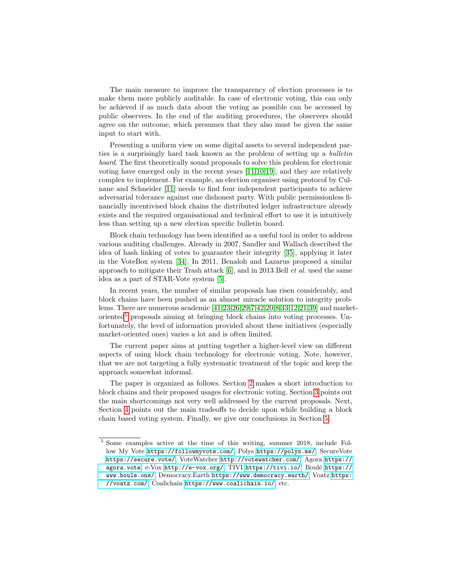The main measure to improve the transparency of election processes is to make them more publicly auditable. In case of electronic voting, this can only be achieved if as much data about the voting as possible can be accessed by public observers. In the end of the auditing procedures, the observers should agree on the outcome, which presumes that they also must be given the same input to start with.

Presenting a uniform view on some digital assets to several independent parties is a surprisingly hard task known as the problem of setting up a bulletin board. The first theoretically sound proposals to solve this problem for electronic voting have emerged only in the recent years [\[11,](#page-15-0)[10,](#page-15-1)[19\]](#page-16-0), and they are relatively complex to implement. For example, an election organiser using protocol by Culnane and Schneider [\[11\]](#page-15-0) needs to find four independent participants to achieve adversarial tolerance against one dishonest party. With public permissionless financially incentivised block chains the distributed ledger infrastructure already exists and the required organisational and technical effort to use it is intuitively less than setting up a new election specific bulletin board.

Block chain technology has been identified as a useful tool in order to address various auditing challenges. Already in 2007, Sandler and Wallach described the idea of hash linking of votes to guarantee their integrity [\[35\]](#page-17-0), applying it later in the VoteBox system [\[34\]](#page-17-1). In 2011, Benaloh and Lazarus proposed a similar approach to mitigate their Trash attack  $[6]$ , and in 2013 Bell *et al.* used the same idea as a part of STAR-Vote system [\[5\]](#page-15-3).

In recent years, the number of similar proposals has risen considerably, and block chains have been pushed as an almost miracle solution to integrity problems. There are numerous academic [\[41](#page-17-2)[,23,](#page-16-1)[26,](#page-16-2)[29](#page-16-3)[,7,](#page-15-4)[42,](#page-17-3)[20,](#page-16-4)[8](#page-15-5)[,33,](#page-16-5)[12,](#page-15-6)[21,](#page-16-6)[39\]](#page-17-4) and market-oriented<sup>[5](#page-1-0)</sup> proposals aiming at bringing block chains into voting processes. Unfortunately, the level of information provided about these initiatives (especially market-oriented ones) varies a lot and is often limited.

The current paper aims at putting together a higher-level view on different aspects of using block chain technology for electronic voting. Note, however, that we are not targeting a fully systematic treatment of the topic and keep the approach somewhat informal.

The paper is organized as follows. Section [2](#page-2-0) makes a short introduction to block chains and their proposed usages for electronic voting. Section [3](#page-5-0) points out the main shortcomings not very well addressed by the current proposals. Next, Section [4](#page-12-0) points out the main tradeoffs to decide upon while building a block chain based voting system. Finally, we give our conclusions in Section [5.](#page-14-0)

<span id="page-1-0"></span><sup>5</sup> Some examples active at the time of this writing, summer 2018, include Follow My Vote <https://followmyvote.com/>, Polys <https://polys.me/>, SecureVote <https://secure.vote/>, VoteWatcher <http://votewatcher.com/>, Agora [https://](https://agora.vote) [agora.vote](https://agora.vote), e-Vox <http://e-vox.org/>, TIVI <https://tivi.io/>, Boulé [https://](https://www.boule.one/) [www.boule.one/](https://www.boule.one/), Democracy.Earth <https://www.democracy.earth/>, Voatz [https:](https://voatz.com/) [//voatz.com/](https://voatz.com/), Coalichain <https://www.coalichain.io/>, etc.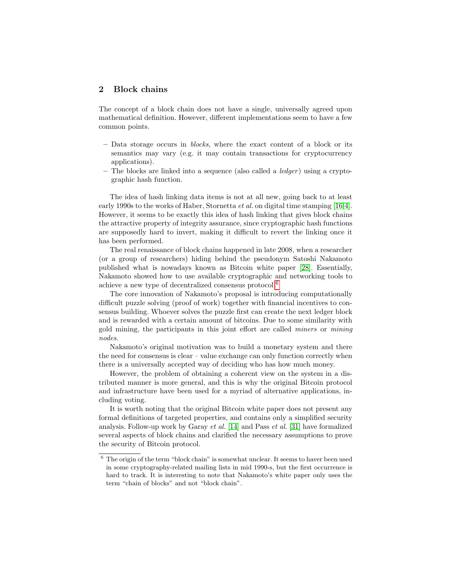# <span id="page-2-0"></span>2 Block chains

The concept of a block chain does not have a single, universally agreed upon mathematical definition. However, different implementations seem to have a few common points.

- Data storage occurs in blocks, where the exact content of a block or its semantics may vary (e.g. it may contain transactions for cryptocurrency applications).
- The blocks are linked into a sequence (also called a *ledger*) using a cryptographic hash function.

The idea of hash linking data items is not at all new, going back to at least early 1990s to the works of Haber, Stornetta et al. on digital time stamping [\[16](#page-15-7)[,4\]](#page-15-8). However, it seems to be exactly this idea of hash linking that gives block chains the attractive property of integrity assurance, since cryptographic hash functions are supposedly hard to invert, making it difficult to revert the linking once it has been performed.

The real renaissance of block chains happened in late 2008, when a researcher (or a group of researchers) hiding behind the pseudonym Satoshi Nakamoto published what is nowadays known as Bitcoin white paper [\[28\]](#page-16-7). Essentially, Nakamoto showed how to use available cryptographic and networking tools to achieve a new type of decentralized consensus protocol.[6](#page-2-1)

The core innovation of Nakamoto's proposal is introducing computationally difficult puzzle solving (proof of work) together with financial incentives to consensus building. Whoever solves the puzzle first can create the next ledger block and is rewarded with a certain amount of bitcoins. Due to some similarity with gold mining, the participants in this joint effort are called miners or mining nodes.

Nakamoto's original motivation was to build a monetary system and there the need for consensus is clear – value exchange can only function correctly when there is a universally accepted way of deciding who has how much money.

However, the problem of obtaining a coherent view on the system in a distributed manner is more general, and this is why the original Bitcoin protocol and infrastructure have been used for a myriad of alternative applications, including voting.

It is worth noting that the original Bitcoin white paper does not present any formal definitions of targeted properties, and contains only a simplified security analysis. Follow-up work by Garay et al. [\[14\]](#page-15-9) and Pass et al. [\[31\]](#page-16-8) have formalized several aspects of block chains and clarified the necessary assumptions to prove the security of Bitcoin protocol.

<span id="page-2-1"></span> $6$  The origin of the term "block chain" is somewhat unclear. It seems to haver been used in some cryptography-related mailing lists in mid 1990-s, but the first occurrence is hard to track. It is interesting to note that Nakamoto's white paper only uses the term "chain of blocks" and not "block chain".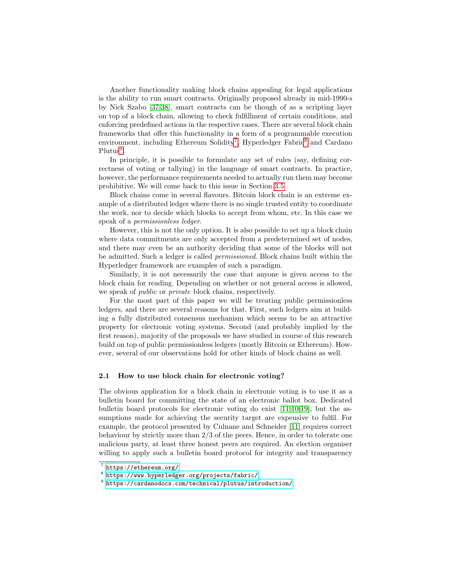Another functionality making block chains appealing for legal applications is the ability to run smart contracts. Originally proposed already in mid-1990-s by Nick Szabo [\[37,](#page-17-5)[38\]](#page-17-6), smart contracts can be though of as a scripting layer on top of a block chain, allowing to check fulfillment of certain conditions, and enforcing predefined actions in the respective cases. There are several block chain frameworks that offer this functionality in a form of a programmable execution environment, including Ethereum Solidity<sup>[7](#page-3-0)</sup>, Hyperledger Fabric<sup>[8](#page-3-1)</sup> and Cardano  $Plutus<sup>9</sup>$  $Plutus<sup>9</sup>$  $Plutus<sup>9</sup>$ .

In principle, it is possible to formulate any set of rules (say, defining correctness of voting or tallying) in the language of smart contracts. In practice, however, the performance requirements needed to actually run them may become prohibitive. We will come back to this issue in Section [3.5.](#page-10-0)

Block chains come in several flavours. Bitcoin block chain is an extreme example of a distributed ledger where there is no single trusted entity to coordinate the work, nor to decide which blocks to accept from whom, etc. In this case we speak of a permissionless ledger.

However, this is not the only option. It is also possible to set up a block chain where data commitments are only accepted from a predetermined set of nodes, and there may even be an authority deciding that some of the blocks will not be admitted. Such a ledger is called permissioned. Block chains built within the Hyperledger framework are examples of such a paradigm.

Similarly, it is not necessarily the case that anyone is given access to the block chain for reading. Depending on whether or not general access is allowed, we speak of *public* or *private* block chains, respectively.

For the most part of this paper we will be treating public permissionless ledgers, and there are several reasons for that. First, such ledgers aim at building a fully distributed consensus mechanism which seems to be an attractive property for electronic voting systems. Second (and probably implied by the first reason), majority of the proposals we have studied in course of this research build on top of public permissionless ledgers (mostly Bitcoin or Ethereum). However, several of our observations hold for other kinds of block chains as well.

#### 2.1 How to use block chain for electronic voting?

The obvious application for a block chain in electronic voting is to use it as a bulletin board for committing the state of an electronic ballot box. Dedicated bulletin board protocols for electronic voting do exist [\[11](#page-15-0)[,10,](#page-15-1)[19\]](#page-16-0), but the assumptions made for achieving the security target are expensive to fulfil. For example, the protocol presented by Culnane and Schneider [\[11\]](#page-15-0) requires correct behaviour by strictly more than 2/3 of the peers. Hence, in order to tolerate one malicious party, at least three honest peers are required. An election organiser willing to apply such a bulletin board protocol for integrity and transparency

<span id="page-3-0"></span><sup>7</sup> <https://ethereum.org/>

<span id="page-3-1"></span> $^8$ <https://www.hyperledger.org/projects/fabric/>

<span id="page-3-2"></span> $^9$  <https://cardanodocs.com/technical/plutus/introduction/>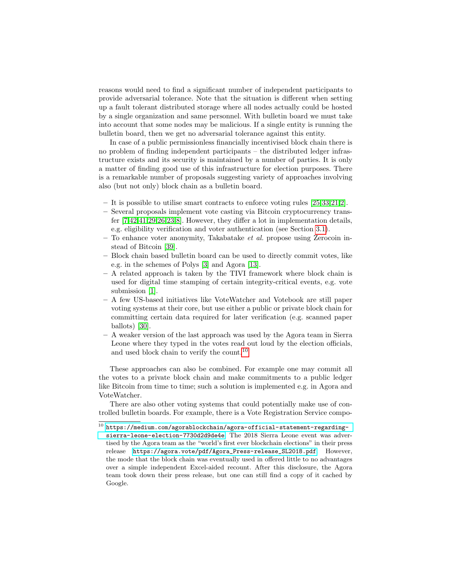reasons would need to find a significant number of independent participants to provide adversarial tolerance. Note that the situation is different when setting up a fault tolerant distributed storage where all nodes actually could be hosted by a single organization and same personnel. With bulletin board we must take into account that some nodes may be malicious. If a single entity is running the bulletin board, then we get no adversarial tolerance against this entity.

In case of a public permissionless financially incentivised block chain there is no problem of finding independent participants – the distributed ledger infrastructure exists and its security is maintained by a number of parties. It is only a matter of finding good use of this infrastructure for election purposes. There is a remarkable number of proposals suggesting variety of approaches involving also (but not only) block chain as a bulletin board.

- It is possible to utilise smart contracts to enforce voting rules [\[25,](#page-16-9)[33,](#page-16-5)[21,](#page-16-6)[2\]](#page-15-10).
- Several proposals implement vote casting via Bitcoin cryptocurrency transfer [\[7,](#page-15-4)[42](#page-17-3)[,41](#page-17-2)[,29,](#page-16-3)[26,](#page-16-2)[23,](#page-16-1)[8\]](#page-15-5). However, they differ a lot in implementation details, e.g. eligibility verification and voter authentication (see Section [3.1\)](#page-5-1).
- To enhance voter anonymity, Takabatake et al. propose using Zerocoin instead of Bitcoin [\[39\]](#page-17-4).
- Block chain based bulletin board can be used to directly commit votes, like e.g. in the schemes of Polys [\[3\]](#page-15-11) and Agora [\[13\]](#page-15-12).
- A related approach is taken by the TIVI framework where block chain is used for digital time stamping of certain integrity-critical events, e.g. vote submission [\[1\]](#page-14-1).
- A few US-based initiatives like VoteWatcher and Votebook are still paper voting systems at their core, but use either a public or private block chain for committing certain data required for later verification (e.g. scanned paper ballots) [\[30\]](#page-16-10).
- A weaker version of the last approach was used by the Agora team in Sierra Leone where they typed in the votes read out loud by the election officials, and used block chain to verify the count.<sup>[10](#page-4-0)</sup>

These approaches can also be combined. For example one may commit all the votes to a private block chain and make commitments to a public ledger like Bitcoin from time to time; such a solution is implemented e.g. in Agora and VoteWatcher.

There are also other voting systems that could potentially make use of controlled bulletin boards. For example, there is a Vote Registration Service compo-

<span id="page-4-0"></span> $^{10}$  [https://medium.com/agorablockchain/agora-official-statement-regarding](https://medium.com/agorablockchain/agora-official-statement-regarding-sierra-leone-election-7730d2d9de4e)[sierra-leone-election-7730d2d9de4e](https://medium.com/agorablockchain/agora-official-statement-regarding-sierra-leone-election-7730d2d9de4e). The 2018 Sierra Leone event was advertised by the Agora team as the "world's first ever blockchain elections" in their press release [https://agora.vote/pdf/Agora\\_Press-release\\_SL2018.pdf](https://agora.vote/pdf/Agora_Press-release_SL2018.pdf). However, the mode that the block chain was eventually used in offered little to no advantages over a simple independent Excel-aided recount. After this disclosure, the Agora team took down their press release, but one can still find a copy of it cached by Google.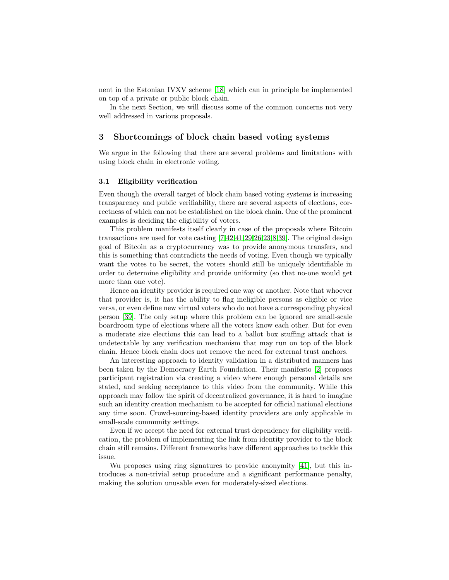nent in the Estonian IVXV scheme [\[18\]](#page-15-13) which can in principle be implemented on top of a private or public block chain.

In the next Section, we will discuss some of the common concerns not very well addressed in various proposals.

# <span id="page-5-0"></span>3 Shortcomings of block chain based voting systems

We argue in the following that there are several problems and limitations with using block chain in electronic voting.

#### <span id="page-5-1"></span>3.1 Eligibility verification

Even though the overall target of block chain based voting systems is increasing transparency and public verifiability, there are several aspects of elections, correctness of which can not be established on the block chain. One of the prominent examples is deciding the eligibility of voters.

This problem manifests itself clearly in case of the proposals where Bitcoin transactions are used for vote casting [\[7](#page-15-4)[,42,](#page-17-3)[41,](#page-17-2)[29,](#page-16-3)[26](#page-16-2)[,23,](#page-16-1)[8,](#page-15-5)[39\]](#page-17-4). The original design goal of Bitcoin as a cryptocurrency was to provide anonymous transfers, and this is something that contradicts the needs of voting. Even though we typically want the votes to be secret, the voters should still be uniquely identifiable in order to determine eligibility and provide uniformity (so that no-one would get more than one vote).

Hence an identity provider is required one way or another. Note that whoever that provider is, it has the ability to flag ineligible persons as eligible or vice versa, or even define new virtual voters who do not have a corresponding physical person [\[39\]](#page-17-4). The only setup where this problem can be ignored are small-scale boardroom type of elections where all the voters know each other. But for even a moderate size elections this can lead to a ballot box stuffing attack that is undetectable by any verification mechanism that may run on top of the block chain. Hence block chain does not remove the need for external trust anchors.

An interesting approach to identity validation in a distributed manners has been taken by the Democracy Earth Foundation. Their manifesto [\[2\]](#page-15-10) proposes participant registration via creating a video where enough personal details are stated, and seeking acceptance to this video from the community. While this approach may follow the spirit of decentralized governance, it is hard to imagine such an identity creation mechanism to be accepted for official national elections any time soon. Crowd-sourcing-based identity providers are only applicable in small-scale community settings.

Even if we accept the need for external trust dependency for eligibility verification, the problem of implementing the link from identity provider to the block chain still remains. Different frameworks have different approaches to tackle this issue.

Wu proposes using ring signatures to provide anonymity [\[41\]](#page-17-2), but this introduces a non-trivial setup procedure and a significant performance penalty, making the solution unusable even for moderately-sized elections.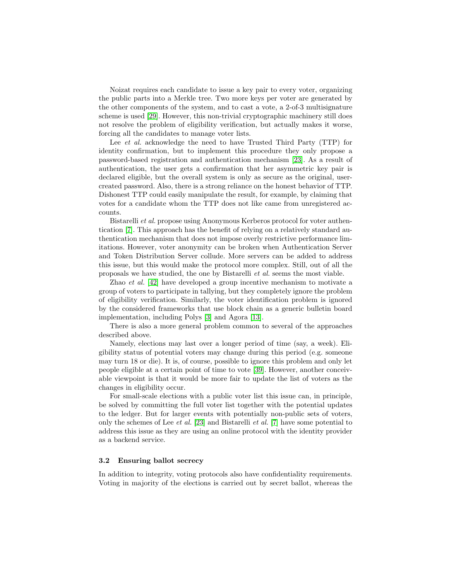Noizat requires each candidate to issue a key pair to every voter, organizing the public parts into a Merkle tree. Two more keys per voter are generated by the other components of the system, and to cast a vote, a 2-of-3 multisignature scheme is used [\[29\]](#page-16-3). However, this non-trivial cryptographic machinery still does not resolve the problem of eligibility verification, but actually makes it worse, forcing all the candidates to manage voter lists.

Lee *et al.* acknowledge the need to have Trusted Third Party (TTP) for identity confirmation, but to implement this procedure they only propose a password-based registration and authentication mechanism [\[23\]](#page-16-1). As a result of authentication, the user gets a confirmation that her asymmetric key pair is declared eligible, but the overall system is only as secure as the original, usercreated password. Also, there is a strong reliance on the honest behavior of TTP. Dishonest TTP could easily manipulate the result, for example, by claiming that votes for a candidate whom the TTP does not like came from unregistered accounts.

Bistarelli et al. propose using Anonymous Kerberos protocol for voter authentication [\[7\]](#page-15-4). This approach has the benefit of relying on a relatively standard authentication mechanism that does not impose overly restrictive performance limitations. However, voter anonymity can be broken when Authentication Server and Token Distribution Server collude. More servers can be added to address this issue, but this would make the protocol more complex. Still, out of all the proposals we have studied, the one by Bistarelli et al. seems the most viable.

Zhao et al. [\[42\]](#page-17-3) have developed a group incentive mechanism to motivate a group of voters to participate in tallying, but they completely ignore the problem of eligibility verification. Similarly, the voter identification problem is ignored by the considered frameworks that use block chain as a generic bulletin board implementation, including Polys [\[3\]](#page-15-11) and Agora [\[13\]](#page-15-12).

There is also a more general problem common to several of the approaches described above.

Namely, elections may last over a longer period of time (say, a week). Eligibility status of potential voters may change during this period (e.g. someone may turn 18 or die). It is, of course, possible to ignore this problem and only let people eligible at a certain point of time to vote [\[39\]](#page-17-4). However, another conceivable viewpoint is that it would be more fair to update the list of voters as the changes in eligibility occur.

For small-scale elections with a public voter list this issue can, in principle, be solved by committing the full voter list together with the potential updates to the ledger. But for larger events with potentially non-public sets of voters, only the schemes of Lee et al. [\[23\]](#page-16-1) and Bistarelli et al. [\[7\]](#page-15-4) have some potential to address this issue as they are using an online protocol with the identity provider as a backend service.

#### 3.2 Ensuring ballot secrecy

In addition to integrity, voting protocols also have confidentiality requirements. Voting in majority of the elections is carried out by secret ballot, whereas the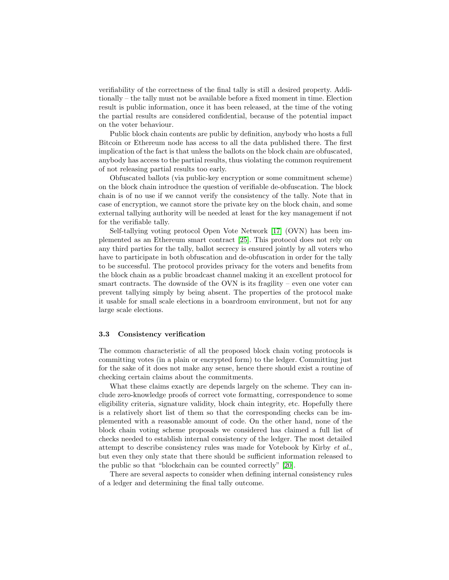verifiability of the correctness of the final tally is still a desired property. Additionally – the tally must not be available before a fixed moment in time. Election result is public information, once it has been released, at the time of the voting the partial results are considered confidential, because of the potential impact on the voter behaviour.

Public block chain contents are public by definition, anybody who hosts a full Bitcoin or Ethereum node has access to all the data published there. The first implication of the fact is that unless the ballots on the block chain are obfuscated, anybody has access to the partial results, thus violating the common requirement of not releasing partial results too early.

Obfuscated ballots (via public-key encryption or some commitment scheme) on the block chain introduce the question of verifiable de-obfuscation. The block chain is of no use if we cannot verify the consistency of the tally. Note that in case of encryption, we cannot store the private key on the block chain, and some external tallying authority will be needed at least for the key management if not for the verifiable tally.

Self-tallying voting protocol Open Vote Network [\[17\]](#page-15-14) (OVN) has been implemented as an Ethereum smart contract [\[25\]](#page-16-9). This protocol does not rely on any third parties for the tally, ballot secrecy is ensured jointly by all voters who have to participate in both obfuscation and de-obfuscation in order for the tally to be successful. The protocol provides privacy for the voters and benefits from the block chain as a public broadcast channel making it an excellent protocol for smart contracts. The downside of the OVN is its fragility – even one voter can prevent tallying simply by being absent. The properties of the protocol make it usable for small scale elections in a boardroom environment, but not for any large scale elections.

#### <span id="page-7-0"></span>3.3 Consistency verification

The common characteristic of all the proposed block chain voting protocols is committing votes (in a plain or encrypted form) to the ledger. Committing just for the sake of it does not make any sense, hence there should exist a routine of checking certain claims about the commitments.

What these claims exactly are depends largely on the scheme. They can include zero-knowledge proofs of correct vote formatting, correspondence to some eligibility criteria, signature validity, block chain integrity, etc. Hopefully there is a relatively short list of them so that the corresponding checks can be implemented with a reasonable amount of code. On the other hand, none of the block chain voting scheme proposals we considered has claimed a full list of checks needed to establish internal consistency of the ledger. The most detailed attempt to describe consistency rules was made for Votebook by Kirby et al., but even they only state that there should be sufficient information released to the public so that "blockchain can be counted correctly" [\[20\]](#page-16-4).

There are several aspects to consider when defining internal consistency rules of a ledger and determining the final tally outcome.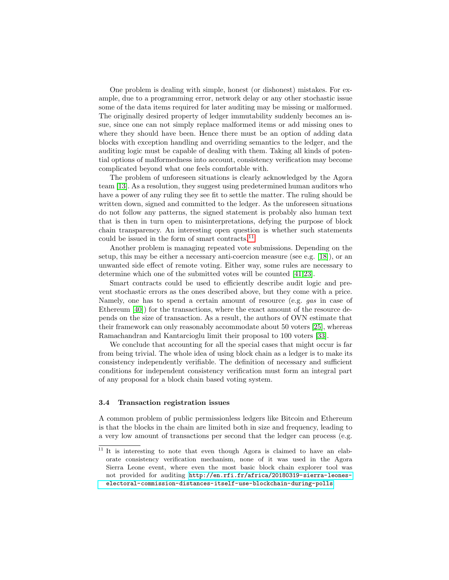One problem is dealing with simple, honest (or dishonest) mistakes. For example, due to a programming error, network delay or any other stochastic issue some of the data items required for later auditing may be missing or malformed. The originally desired property of ledger immutability suddenly becomes an issue, since one can not simply replace malformed items or add missing ones to where they should have been. Hence there must be an option of adding data blocks with exception handling and overriding semantics to the ledger, and the auditing logic must be capable of dealing with them. Taking all kinds of potential options of malformedness into account, consistency verification may become complicated beyond what one feels comfortable with.

The problem of unforeseen situations is clearly acknowledged by the Agora team [\[13\]](#page-15-12). As a resolution, they suggest using predetermined human auditors who have a power of any ruling they see fit to settle the matter. The ruling should be written down, signed and committed to the ledger. As the unforeseen situations do not follow any patterns, the signed statement is probably also human text that is then in turn open to misinterpretations, defying the purpose of block chain transparency. An interesting open question is whether such statements could be issued in the form of smart contracts.[11](#page-8-0)

Another problem is managing repeated vote submissions. Depending on the setup, this may be either a necessary anti-coercion measure (see e.g. [\[18\]](#page-15-13)), or an unwanted side effect of remote voting. Either way, some rules are necessary to determine which one of the submitted votes will be counted [\[41,](#page-17-2)[23\]](#page-16-1).

Smart contracts could be used to efficiently describe audit logic and prevent stochastic errors as the ones described above, but they come with a price. Namely, one has to spend a certain amount of resource (e.g. *gas* in case of Ethereum [\[40\]](#page-17-7)) for the transactions, where the exact amount of the resource depends on the size of transaction. As a result, the authors of OVN estimate that their framework can only reasonably accommodate about 50 voters [\[25\]](#page-16-9), whereas Ramachandran and Kantarcioglu limit their proposal to 100 voters [\[33\]](#page-16-5).

We conclude that accounting for all the special cases that might occur is far from being trivial. The whole idea of using block chain as a ledger is to make its consistency independently verifiable. The definition of necessary and sufficient conditions for independent consistency verification must form an integral part of any proposal for a block chain based voting system.

## <span id="page-8-1"></span>3.4 Transaction registration issues

A common problem of public permissionless ledgers like Bitcoin and Ethereum is that the blocks in the chain are limited both in size and frequency, leading to a very low amount of transactions per second that the ledger can process (e.g.

<span id="page-8-0"></span><sup>&</sup>lt;sup>11</sup> It is interesting to note that even though Agora is claimed to have an elaborate consistency verification mechanism, none of it was used in the Agora Sierra Leone event, where even the most basic block chain explorer tool was not provided for auditing [http://en.rfi.fr/africa/20180319-sierra-leones](http://en.rfi.fr/africa/20180319-sierra-leones-electoral-commission-distances-itself-use-blockchain-during-polls)[electoral-commission-distances-itself-use-blockchain-during-polls](http://en.rfi.fr/africa/20180319-sierra-leones-electoral-commission-distances-itself-use-blockchain-during-polls).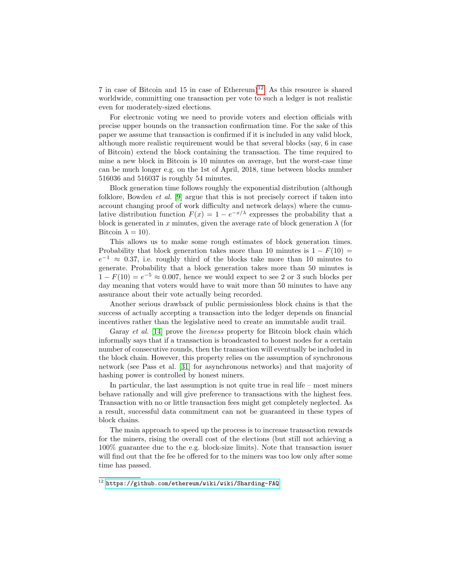7 in case of Bitcoin and 15 in case of Ethereum)<sup>[12](#page-9-0)</sup>. As this resource is shared worldwide, committing one transaction per vote to such a ledger is not realistic even for moderately-sized elections.

For electronic voting we need to provide voters and election officials with precise upper bounds on the transaction confirmation time. For the sake of this paper we assume that transaction is confirmed if it is included in any valid block, although more realistic requirement would be that several blocks (say, 6 in case of Bitcoin) extend the block containing the transaction. The time required to mine a new block in Bitcoin is 10 minutes on average, but the worst-case time can be much longer e.g. on the 1st of April, 2018, time between blocks number 516036 and 516037 is roughly 54 minutes.

Block generation time follows roughly the exponential distribution (although folklore, Bowden et al. [\[9\]](#page-15-15) argue that this is not precisely correct if taken into account changing proof of work difficulty and network delays) where the cumulative distribution function  $F(x) = 1 - e^{-x/\lambda}$  expresses the probability that a block is generated in x minutes, given the average rate of block generation  $\lambda$  (for Bitcoin  $\lambda = 10$ ).

This allows us to make some rough estimates of block generation times. Probability that block generation takes more than 10 minutes is  $1 - F(10) =$  $e^{-1} \approx 0.37$ , i.e. roughly third of the blocks take more than 10 minutes to generate. Probability that a block generation takes more than 50 minutes is  $1 - F(10) = e^{-5} \approx 0.007$ , hence we would expect to see 2 or 3 such blocks per day meaning that voters would have to wait more than 50 minutes to have any assurance about their vote actually being recorded.

Another serious drawback of public permissionless block chains is that the success of actually accepting a transaction into the ledger depends on financial incentives rather than the legislative need to create an immutable audit trail.

Garay *et al.* [\[14\]](#page-15-9) prove the *liveness* property for Bitcoin block chain which informally says that if a transaction is broadcasted to honest nodes for a certain number of consecutive rounds, then the transaction will eventually be included in the block chain. However, this property relies on the assumption of synchronous network (see Pass et al. [\[31\]](#page-16-8) for asynchronous networks) and that majority of hashing power is controlled by honest miners.

In particular, the last assumption is not quite true in real life – most miners behave rationally and will give preference to transactions with the highest fees. Transaction with no or little transaction fees might get completely neglected. As a result, successful data commitment can not be guaranteed in these types of block chains.

The main approach to speed up the process is to increase transaction rewards for the miners, rising the overall cost of the elections (but still not achieving a 100% guarantee due to the e.g. block-size limits). Note that transaction issuer will find out that the fee he offered for to the miners was too low only after some time has passed.

<span id="page-9-0"></span> $\frac{12 \text{ https://github.com/ethereum/wiki/which}$ Sharding-FAQ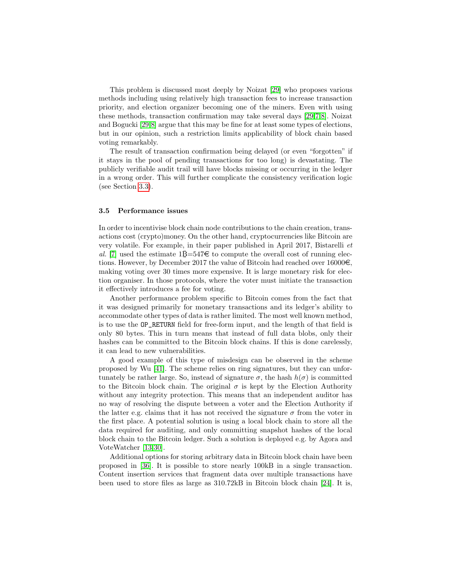This problem is discussed most deeply by Noizat [\[29\]](#page-16-3) who proposes various methods including using relatively high transaction fees to increase transaction priority, and election organizer becoming one of the miners. Even with using these methods, transaction confirmation may take several days [\[29](#page-16-3)[,7,](#page-15-4)[8\]](#page-15-5). Noizat and Bogucki [\[29,](#page-16-3)[8\]](#page-15-5) argue that this may be fine for at least some types of elections, but in our opinion, such a restriction limits applicability of block chain based voting remarkably.

The result of transaction confirmation being delayed (or even "forgotten" if it stays in the pool of pending transactions for too long) is devastating. The publicly verifiable audit trail will have blocks missing or occurring in the ledger in a wrong order. This will further complicate the consistency verification logic (see Section [3.3\)](#page-7-0).

## <span id="page-10-0"></span>3.5 Performance issues

In order to incentivise block chain node contributions to the chain creation, transactions cost (crypto)money. On the other hand, cryptocurrencies like Bitcoin are very volatile. For example, in their paper published in April 2017, Bistarelli et al. [\[7\]](#page-15-4) used the estimate  $1\overline{B} = 547\epsilon$  to compute the overall cost of running elections. However, by December 2017 the value of Bitcoin had reached over  $16000\epsilon$ , making voting over 30 times more expensive. It is large monetary risk for election organiser. In those protocols, where the voter must initiate the transaction it effectively introduces a fee for voting.

Another performance problem specific to Bitcoin comes from the fact that it was designed primarily for monetary transactions and its ledger's ability to accommodate other types of data is rather limited. The most well known method, is to use the OP\_RETURN field for free-form input, and the length of that field is only 80 bytes. This in turn means that instead of full data blobs, only their hashes can be committed to the Bitcoin block chains. If this is done carelessly, it can lead to new vulnerabilities.

A good example of this type of misdesign can be observed in the scheme proposed by Wu [\[41\]](#page-17-2). The scheme relies on ring signatures, but they can unfortunately be rather large. So, instead of signature  $\sigma$ , the hash  $h(\sigma)$  is committed to the Bitcoin block chain. The original  $\sigma$  is kept by the Election Authority without any integrity protection. This means that an independent auditor has no way of resolving the dispute between a voter and the Election Authority if the latter e.g. claims that it has not received the signature  $\sigma$  from the voter in the first place. A potential solution is using a local block chain to store all the data required for auditing, and only committing snapshot hashes of the local block chain to the Bitcoin ledger. Such a solution is deployed e.g. by Agora and VoteWatcher [\[13,](#page-15-12)[30\]](#page-16-10).

Additional options for storing arbitrary data in Bitcoin block chain have been proposed in [\[36\]](#page-17-8). It is possible to store nearly 100kB in a single transaction. Content insertion services that fragment data over multiple transactions have been used to store files as large as 310.72kB in Bitcoin block chain [\[24\]](#page-16-11). It is,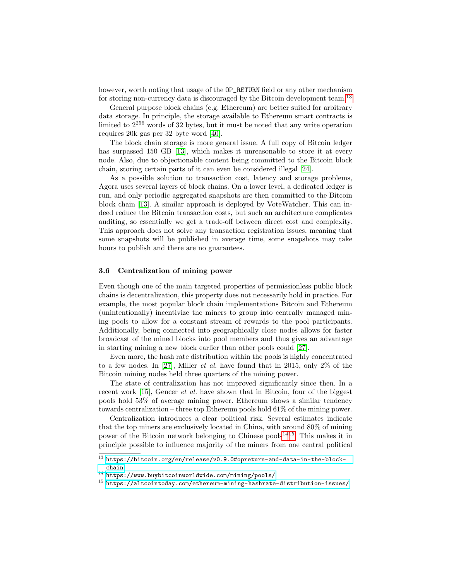however, worth noting that usage of the **OP\_RETURN** field or any other mechanism for storing non-currency data is discouraged by the Bitcoin development team.<sup>[13](#page-11-0)</sup>

General purpose block chains (e.g. Ethereum) are better suited for arbitrary data storage. In principle, the storage available to Ethereum smart contracts is limited to  $2^{256}$  words of 32 bytes, but it must be noted that any write operation requires 20k gas per 32 byte word [\[40\]](#page-17-7).

The block chain storage is more general issue. A full copy of Bitcoin ledger has surpassed 150 GB [\[13\]](#page-15-12), which makes it unreasonable to store it at every node. Also, due to objectionable content being committed to the Bitcoin block chain, storing certain parts of it can even be considered illegal [\[24\]](#page-16-11).

As a possible solution to transaction cost, latency and storage problems, Agora uses several layers of block chains. On a lower level, a dedicated ledger is run, and only periodic aggregated snapshots are then committed to the Bitcoin block chain [\[13\]](#page-15-12). A similar approach is deployed by VoteWatcher. This can indeed reduce the Bitcoin transaction costs, but such an architecture complicates auditing, so essentially we get a trade-off between direct cost and complexity. This approach does not solve any transaction registration issues, meaning that some snapshots will be published in average time, some snapshots may take hours to publish and there are no guarantees.

#### 3.6 Centralization of mining power

Even though one of the main targeted properties of permissionless public block chains is decentralization, this property does not necessarily hold in practice. For example, the most popular block chain implementations Bitcoin and Ethereum (unintentionally) incentivize the miners to group into centrally managed mining pools to allow for a constant stream of rewards to the pool participants. Additionally, being connected into geographically close nodes allows for faster broadcast of the mined blocks into pool members and thus gives an advantage in starting mining a new block earlier than other pools could [\[27\]](#page-16-12).

Even more, the hash rate distribution within the pools is highly concentrated to a few nodes. In [\[27\]](#page-16-12), Miller *et al.* have found that in 2015, only  $2\%$  of the Bitcoin mining nodes held three quarters of the mining power.

The state of centralization has not improved significantly since then. In a recent work [\[15\]](#page-15-16), Gencer et al. have shown that in Bitcoin, four of the biggest pools hold 53% of average mining power. Ethereum shows a similar tendency towards centralization – three top Ethereum pools hold 61% of the mining power.

Centralization introduces a clear political risk. Several estimates indicate that the top miners are exclusively located in China, with around 80% of mining power of the Bitcoin network belonging to Chinese pools<sup>[14](#page-11-1)[15](#page-11-2)</sup>. This makes it in principle possible to influence majority of the miners from one central political

<span id="page-11-0"></span> $\overline{^{13}$  [https://bitcoin.org/en/release/v0.9.0#opreturn-and-data-in-the-block](https://bitcoin.org/en/release/v0.9.0#opreturn-and-data-in-the-block-chain)[chain](https://bitcoin.org/en/release/v0.9.0#opreturn-and-data-in-the-block-chain)

<span id="page-11-1"></span> $14$  <https://www.buybitcoinworldwide.com/mining/pools/>

<span id="page-11-2"></span> $15$  <https://altcointoday.com/ethereum-mining-hashrate-distribution-issues/>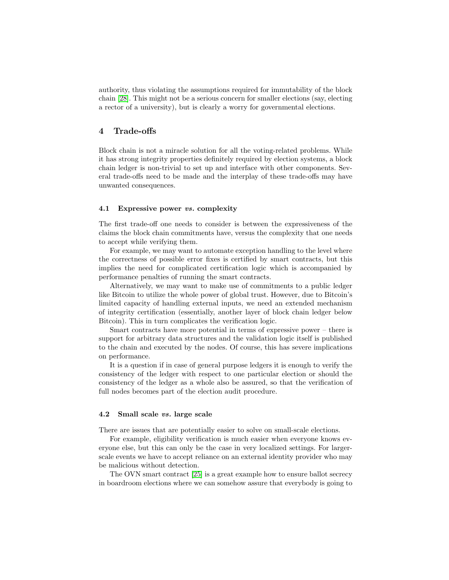authority, thus violating the assumptions required for immutability of the block chain [\[28\]](#page-16-7). This might not be a serious concern for smaller elections (say, electing a rector of a university), but is clearly a worry for governmental elections.

## <span id="page-12-0"></span>4 Trade-offs

Block chain is not a miracle solution for all the voting-related problems. While it has strong integrity properties definitely required by election systems, a block chain ledger is non-trivial to set up and interface with other components. Several trade-offs need to be made and the interplay of these trade-offs may have unwanted consequences.

## 4.1 Expressive power vs. complexity

The first trade-off one needs to consider is between the expressiveness of the claims the block chain commitments have, versus the complexity that one needs to accept while verifying them.

For example, we may want to automate exception handling to the level where the correctness of possible error fixes is certified by smart contracts, but this implies the need for complicated certification logic which is accompanied by performance penalties of running the smart contracts.

Alternatively, we may want to make use of commitments to a public ledger like Bitcoin to utilize the whole power of global trust. However, due to Bitcoin's limited capacity of handling external inputs, we need an extended mechanism of integrity certification (essentially, another layer of block chain ledger below Bitcoin). This in turn complicates the verification logic.

Smart contracts have more potential in terms of expressive power – there is support for arbitrary data structures and the validation logic itself is published to the chain and executed by the nodes. Of course, this has severe implications on performance.

It is a question if in case of general purpose ledgers it is enough to verify the consistency of the ledger with respect to one particular election or should the consistency of the ledger as a whole also be assured, so that the verification of full nodes becomes part of the election audit procedure.

## 4.2 Small scale vs. large scale

There are issues that are potentially easier to solve on small-scale elections.

For example, eligibility verification is much easier when everyone knows everyone else, but this can only be the case in very localized settings. For largerscale events we have to accept reliance on an external identity provider who may be malicious without detection.

The OVN smart contract [\[25\]](#page-16-9) is a great example how to ensure ballot secrecy in boardroom elections where we can somehow assure that everybody is going to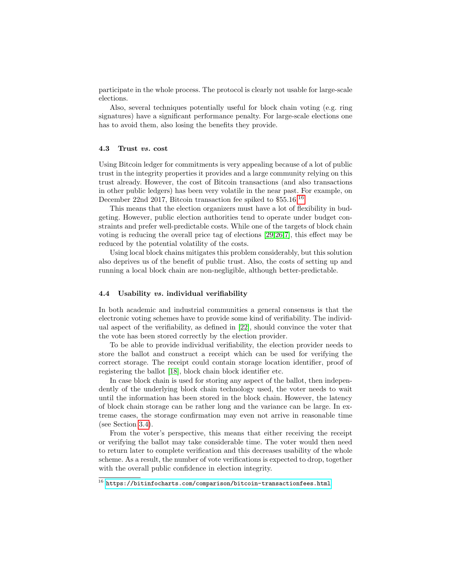participate in the whole process. The protocol is clearly not usable for large-scale elections.

Also, several techniques potentially useful for block chain voting (e.g. ring signatures) have a significant performance penalty. For large-scale elections one has to avoid them, also losing the benefits they provide.

#### 4.3 Trust vs. cost

Using Bitcoin ledger for commitments is very appealing because of a lot of public trust in the integrity properties it provides and a large community relying on this trust already. However, the cost of Bitcoin transactions (and also transactions in other public ledgers) has been very volatile in the near past. For example, on December 22nd 2017, Bitcoin transaction fee spiked to \$55.[16](#page-13-0).<sup>16</sup>

This means that the election organizers must have a lot of flexibility in budgeting. However, public election authorities tend to operate under budget constraints and prefer well-predictable costs. While one of the targets of block chain voting is reducing the overall price tag of elections [\[29,](#page-16-3)[26,](#page-16-2)[7\]](#page-15-4), this effect may be reduced by the potential volatility of the costs.

Using local block chains mitigates this problem considerably, but this solution also deprives us of the benefit of public trust. Also, the costs of setting up and running a local block chain are non-negligible, although better-predictable.

## 4.4 Usability vs. individual verifiability

In both academic and industrial communities a general consensus is that the electronic voting schemes have to provide some kind of verifiability. The individual aspect of the verifiability, as defined in [\[22\]](#page-16-13), should convince the voter that the vote has been stored correctly by the election provider.

To be able to provide individual verifiability, the election provider needs to store the ballot and construct a receipt which can be used for verifying the correct storage. The receipt could contain storage location identifier, proof of registering the ballot [\[18\]](#page-15-13), block chain block identifier etc.

In case block chain is used for storing any aspect of the ballot, then independently of the underlying block chain technology used, the voter needs to wait until the information has been stored in the block chain. However, the latency of block chain storage can be rather long and the variance can be large. In extreme cases, the storage confirmation may even not arrive in reasonable time (see Section [3.4\)](#page-8-1).

From the voter's perspective, this means that either receiving the receipt or verifying the ballot may take considerable time. The voter would then need to return later to complete verification and this decreases usability of the whole scheme. As a result, the number of vote verifications is expected to drop, together with the overall public confidence in election integrity.

<span id="page-13-0"></span> $^{16}$  <https://bitinfocharts.com/comparison/bitcoin-transactionfees.html>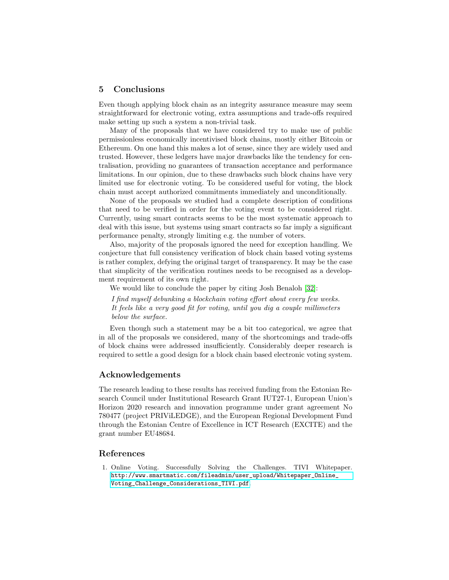# <span id="page-14-0"></span>5 Conclusions

Even though applying block chain as an integrity assurance measure may seem straightforward for electronic voting, extra assumptions and trade-offs required make setting up such a system a non-trivial task.

Many of the proposals that we have considered try to make use of public permissionless economically incentivised block chains, mostly either Bitcoin or Ethereum. On one hand this makes a lot of sense, since they are widely used and trusted. However, these ledgers have major drawbacks like the tendency for centralisation, providing no guarantees of transaction acceptance and performance limitations. In our opinion, due to these drawbacks such block chains have very limited use for electronic voting. To be considered useful for voting, the block chain must accept authorized commitments immediately and unconditionally.

None of the proposals we studied had a complete description of conditions that need to be verified in order for the voting event to be considered right. Currently, using smart contracts seems to be the most systematic approach to deal with this issue, but systems using smart contracts so far imply a significant performance penalty, strongly limiting e.g. the number of voters.

Also, majority of the proposals ignored the need for exception handling. We conjecture that full consistency verification of block chain based voting systems is rather complex, defying the original target of transparency. It may be the case that simplicity of the verification routines needs to be recognised as a development requirement of its own right.

We would like to conclude the paper by citing Josh Benaloh [\[32\]](#page-16-14):

I find myself debunking a blockchain voting effort about every few weeks. It feels like a very good fit for voting, until you dig a couple millimeters below the surface.

Even though such a statement may be a bit too categorical, we agree that in all of the proposals we considered, many of the shortcomings and trade-offs of block chains were addressed insufficiently. Considerably deeper research is required to settle a good design for a block chain based electronic voting system.

# Acknowledgements

The research leading to these results has received funding from the Estonian Research Council under Institutional Research Grant IUT27-1, European Union's Horizon 2020 research and innovation programme under grant agreement No 780477 (project PRIViLEDGE), and the European Regional Development Fund through the Estonian Centre of Excellence in ICT Research (EXCITE) and the grant number EU48684.

# References

<span id="page-14-1"></span>1. Online Voting. Successfully Solving the Challenges. TIVI Whitepaper. [http://www.smartmatic.com/fileadmin/user\\_upload/Whitepaper\\_Online\\_](http://www.smartmatic.com/fileadmin/user_upload/Whitepaper_Online_Voting_Challenge_Considerations_TIVI.pdf) [Voting\\_Challenge\\_Considerations\\_TIVI.pdf](http://www.smartmatic.com/fileadmin/user_upload/Whitepaper_Online_Voting_Challenge_Considerations_TIVI.pdf).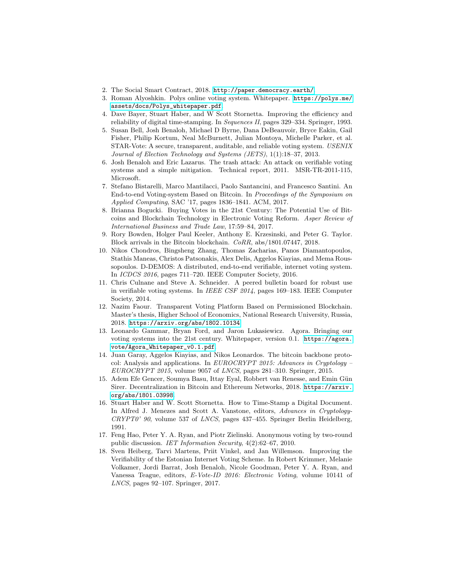- <span id="page-15-10"></span>2. The Social Smart Contract, 2018. <http://paper.democracy.earth/>.
- <span id="page-15-11"></span>3. Roman Alyoshkin. Polys online voting system. Whitepaper. [https://polys.me/](https://polys.me/assets/docs/Polys_whitepaper.pdf) [assets/docs/Polys\\_whitepaper.pdf](https://polys.me/assets/docs/Polys_whitepaper.pdf).
- <span id="page-15-8"></span>4. Dave Bayer, Stuart Haber, and W Scott Stornetta. Improving the efficiency and reliability of digital time-stamping. In Sequences II, pages 329–334. Springer, 1993.
- <span id="page-15-3"></span>5. Susan Bell, Josh Benaloh, Michael D Byrne, Dana DeBeauvoir, Bryce Eakin, Gail Fisher, Philip Kortum, Neal McBurnett, Julian Montoya, Michelle Parker, et al. STAR-Vote: A secure, transparent, auditable, and reliable voting system. USENIX Journal of Election Technology and Systems (JETS), 1(1):18–37, 2013.
- <span id="page-15-2"></span>6. Josh Benaloh and Eric Lazarus. The trash attack: An attack on verifiable voting systems and a simple mitigation. Technical report, 2011. MSR-TR-2011-115, Microsoft.
- <span id="page-15-4"></span>7. Stefano Bistarelli, Marco Mantilacci, Paolo Santancini, and Francesco Santini. An End-to-end Voting-system Based on Bitcoin. In Proceedings of the Symposium on Applied Computing, SAC '17, pages 1836–1841. ACM, 2017.
- <span id="page-15-5"></span>8. Brianna Bogucki. Buying Votes in the 21st Century: The Potential Use of Bitcoins and Blockchain Technology in Electronic Voting Reform. Asper Review of International Business and Trade Law, 17:59–84, 2017.
- <span id="page-15-15"></span>9. Rory Bowden, Holger Paul Keeler, Anthony E. Krzesinski, and Peter G. Taylor. Block arrivals in the Bitcoin blockchain. CoRR, abs/1801.07447, 2018.
- <span id="page-15-1"></span>10. Nikos Chondros, Bingsheng Zhang, Thomas Zacharias, Panos Diamantopoulos, Stathis Maneas, Christos Patsonakis, Alex Delis, Aggelos Kiayias, and Mema Roussopoulos. D-DEMOS: A distributed, end-to-end verifiable, internet voting system. In ICDCS 2016, pages 711–720. IEEE Computer Society, 2016.
- <span id="page-15-0"></span>11. Chris Culnane and Steve A. Schneider. A peered bulletin board for robust use in verifiable voting systems. In IEEE CSF 2014, pages 169–183. IEEE Computer Society, 2014.
- <span id="page-15-6"></span>12. Nazim Faour. Transparent Voting Platform Based on Permissioned Blockchain. Master's thesis, Higher School of Economics, National Research University, Russia, 2018. <https://arxiv.org/abs/1802.10134>.
- <span id="page-15-12"></span>13. Leonardo Gammar, Bryan Ford, and Jaron Lukasiewicz. Agora. Bringing our voting systems into the 21st century. Whitepaper, version 0.1. [https://agora.](https://agora.vote/Agora_Whitepaper_v0.1.pdf) [vote/Agora\\_Whitepaper\\_v0.1.pdf](https://agora.vote/Agora_Whitepaper_v0.1.pdf).
- <span id="page-15-9"></span>14. Juan Garay, Aggelos Kiayias, and Nikos Leonardos. The bitcoin backbone protocol: Analysis and applications. In EUROCRYPT 2015: Advances in Cryptology – EUROCRYPT 2015, volume 9057 of LNCS, pages 281–310. Springer, 2015.
- <span id="page-15-16"></span>15. Adem Efe Gencer, Soumya Basu, Ittay Eyal, Robbert van Renesse, and Emin Gün Sirer. Decentralization in Bitcoin and Ethereum Networks, 2018. [https://arxiv.](https://arxiv.org/abs/1801.03998) [org/abs/1801.03998](https://arxiv.org/abs/1801.03998).
- <span id="page-15-7"></span>16. Stuart Haber and W. Scott Stornetta. How to Time-Stamp a Digital Document. In Alfred J. Menezes and Scott A. Vanstone, editors, Advances in Cryptology-CRYPT0' 90, volume 537 of LNCS, pages 437–455. Springer Berlin Heidelberg, 1991.
- <span id="page-15-14"></span>17. Feng Hao, Peter Y. A. Ryan, and Piotr Zielinski. Anonymous voting by two-round public discussion. IET Information Security, 4(2):62–67, 2010.
- <span id="page-15-13"></span>18. Sven Heiberg, Tarvi Martens, Priit Vinkel, and Jan Willemson. Improving the Verifiability of the Estonian Internet Voting Scheme. In Robert Krimmer, Melanie Volkamer, Jordi Barrat, Josh Benaloh, Nicole Goodman, Peter Y. A. Ryan, and Vanessa Teague, editors, E-Vote-ID 2016: Electronic Voting, volume 10141 of LNCS, pages 92–107. Springer, 2017.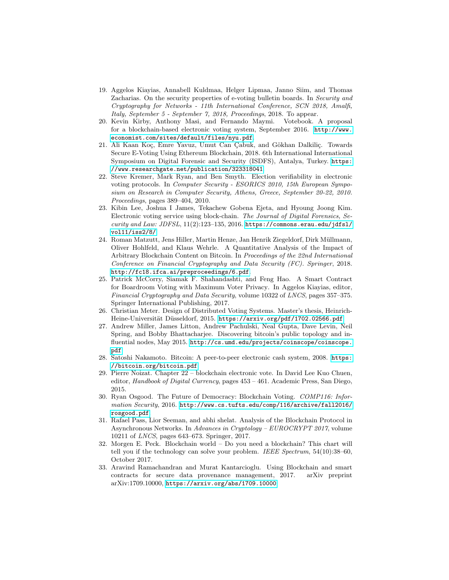- <span id="page-16-0"></span>19. Aggelos Kiayias, Annabell Kuldmaa, Helger Lipmaa, Janno Siim, and Thomas Zacharias. On the security properties of e-voting bulletin boards. In Security and Cryptography for Networks - 11th International Conference, SCN 2018, Amalfi, Italy, September 5 - September 7, 2018, Proceedings, 2018. To appear.
- <span id="page-16-4"></span>20. Kevin Kirby, Anthony Masi, and Fernando Maymi. Votebook. A proposal for a blockchain-based electronic voting system, September 2016. [http://www.](http://www.economist.com/sites/default/files/nyu.pdf) [economist.com/sites/default/files/nyu.pdf](http://www.economist.com/sites/default/files/nyu.pdf).
- <span id="page-16-6"></span>21. Ali Kaan Koç, Emre Yavuz, Umut Can Çabuk, and Gökhan Dalkiliç. Towards Secure E-Voting Using Ethereum Blockchain, 2018. 6th International International Symposium on Digital Forensic and Security (ISDFS), Antalya, Turkey. [https:](https://www.researchgate.net/publication/323318041) [//www.researchgate.net/publication/323318041](https://www.researchgate.net/publication/323318041).
- <span id="page-16-13"></span>22. Steve Kremer, Mark Ryan, and Ben Smyth. Election verifiability in electronic voting protocols. In Computer Security - ESORICS 2010, 15th European Symposium on Research in Computer Security, Athens, Greece, September 20-22, 2010. Proceedings, pages 389–404, 2010.
- <span id="page-16-1"></span>23. Kibin Lee, Joshua I James, Tekachew Gobena Ejeta, and Hyoung Joong Kim. Electronic voting service using block-chain. The Journal of Digital Forensics, Security and Law:  $JDFSL$ ,  $11(2):123-135$ ,  $2016$ . [https://commons.erau.edu/jdfsl/](https://commons.erau.edu/jdfsl/vol11/iss2/8/) [vol11/iss2/8/](https://commons.erau.edu/jdfsl/vol11/iss2/8/).
- <span id="page-16-11"></span>24. Roman Matzutt, Jens Hiller, Martin Henze, Jan Henrik Ziegeldorf, Dirk Müllmann, Oliver Hohlfeld, and Klaus Wehrle. A Quantitative Analysis of the Impact of Arbitrary Blockchain Content on Bitcoin. In Proceedings of the 22nd International Conference on Financial Cryptography and Data Security (FC). Springer, 2018. <http://fc18.ifca.ai/preproceedings/6.pdf>.
- <span id="page-16-9"></span>25. Patrick McCorry, Siamak F. Shahandashti, and Feng Hao. A Smart Contract for Boardroom Voting with Maximum Voter Privacy. In Aggelos Kiayias, editor, Financial Cryptography and Data Security, volume 10322 of LNCS, pages 357–375. Springer International Publishing, 2017.
- <span id="page-16-2"></span>26. Christian Meter. Design of Distributed Voting Systems. Master's thesis, HeinrichHeine-Universität Düsseldorf, 2015. <https://arxiv.org/pdf/1702.02566.pdf>.
- <span id="page-16-12"></span>27. Andrew Miller, James Litton, Andrew Pachulski, Neal Gupta, Dave Levin, Neil Spring, and Bobby Bhattacharjee. Discovering bitcoin's public topology and influential nodes, May 2015. [http://cs.umd.edu/projects/coinscope/coinscope.](http://cs.umd.edu/projects/coinscope/coinscope.pdf) [pdf](http://cs.umd.edu/projects/coinscope/coinscope.pdf).
- <span id="page-16-7"></span>28. Satoshi Nakamoto. Bitcoin: A peer-to-peer electronic cash system, 2008. [https:](https://bitcoin.org/bitcoin.pdf) [//bitcoin.org/bitcoin.pdf](https://bitcoin.org/bitcoin.pdf).
- <span id="page-16-3"></span>29. Pierre Noizat. Chapter 22 – blockchain electronic vote. In David Lee Kuo Chuen, editor, Handbook of Digital Currency, pages 453 – 461. Academic Press, San Diego, 2015.
- <span id="page-16-10"></span>30. Ryan Osgood. The Future of Democracy: Blockchain Voting. COMP116: Information Security, 2016. [http://www.cs.tufts.edu/comp/116/archive/fall2016/](http://www.cs.tufts.edu/comp/116/archive/fall2016/rosgood.pdf) [rosgood.pdf](http://www.cs.tufts.edu/comp/116/archive/fall2016/rosgood.pdf).
- <span id="page-16-8"></span>31. Rafael Pass, Lior Seeman, and abhi shelat. Analysis of the Blockchain Protocol in Asynchronous Networks. In Advances in Cryptology – EUROCRYPT 2017, volume 10211 of LNCS, pages 643–673. Springer, 2017.
- <span id="page-16-14"></span>32. Morgen E. Peck. Blockchain world – Do you need a blockchain? This chart will tell you if the technology can solve your problem. IEEE Spectrum, 54(10):38–60, October 2017.
- <span id="page-16-5"></span>33. Aravind Ramachandran and Murat Kantarcioglu. Using Blockchain and smart contracts for secure data provenance management, 2017. arXiv preprint arXiv:1709.10000, <https://arxiv.org/abs/1709.10000>.